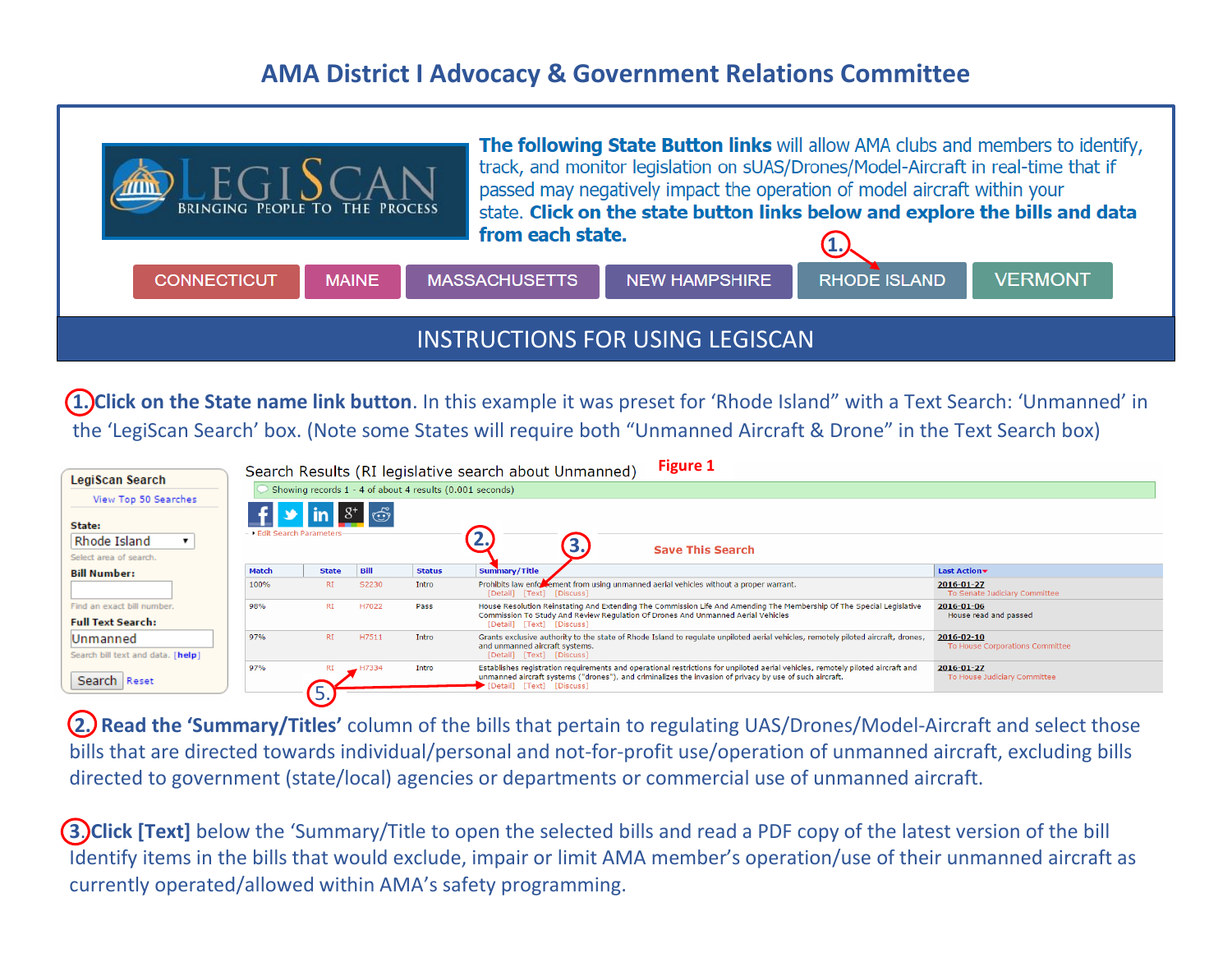## **AMA District I Advocacy & Government Relations Committee**



**1. Click on the State name link button**. In this example it was preset for 'Rhode Island" with a Text Search: 'Unmanned' in the 'LegiScan Search' box. (Note some States will require both "Unmanned Aircraft & Drone" in the Text Search box)

| <b>LegiScan Search</b><br>View Top 50 Searches<br>State:<br>Rhode Island<br>Select area of search. | <b>Figure 1</b><br>Search Results (RI legislative search about Unmanned)<br>Showing records 1 - 4 of about 4 results (0.001 seconds)<br>$\lim_{x \to \infty} 8^+$<br>- ▶ Edit Search Parameters<br><b>Save This Search</b> |              |       |               |                                                                                                                                                                                                                                                                        |                                                     |
|----------------------------------------------------------------------------------------------------|----------------------------------------------------------------------------------------------------------------------------------------------------------------------------------------------------------------------------|--------------|-------|---------------|------------------------------------------------------------------------------------------------------------------------------------------------------------------------------------------------------------------------------------------------------------------------|-----------------------------------------------------|
| <b>Bill Number:</b>                                                                                | <b>Match</b>                                                                                                                                                                                                               | <b>State</b> | Bill  | <b>Status</b> | Summary/Title                                                                                                                                                                                                                                                          | Last Action                                         |
|                                                                                                    | 100%                                                                                                                                                                                                                       | <b>RI</b>    | S2230 | Intro         | Prohibits law enforment from using unmanned aerial vehicles without a proper warrant.<br>[Detail] [Text] [Discuss]                                                                                                                                                     | $2016 - 01 - 27$<br>To Senate Judiciary Committee   |
| Find an exact bill number.<br><b>Full Text Search:</b>                                             | 98%                                                                                                                                                                                                                        | RI           | H7022 | Pass          | House Resolution Reinstating And Extending The Commission Life And Amending The Membership Of The Special Legislative<br>Commission To Study And Review Regulation Of Drones And Unmanned Aerial Vehicles<br>[Detail] [Text] [Discuss]                                 | 2016-01-06<br>House read and passed                 |
| Unmanned<br>Search bill text and data. [help]                                                      | 97%                                                                                                                                                                                                                        | RI           | H7511 | Intro         | Grants exclusive authority to the state of Rhode Island to regulate unpiloted aerial vehicles, remotely piloted aircraft, drones,<br>and unmanned aircraft systems.<br>[Detail] [Text] [Discuss]                                                                       | $2016 - 02 - 10$<br>To House Corporations Committee |
| Search Reset                                                                                       | 97%                                                                                                                                                                                                                        |              |       | Intro         | Establishes registration requirements and operational restrictions for unpiloted aerial vehicles, remotely piloted aircraft and<br>unmanned aircraft systems ("drones"), and criminalizes the invasion of privacy by use of such aircraft.<br>Detail] [Text] [Discuss] | $2016 - 01 - 27$<br>To House Judiciary Committee    |

**2. Read the 'Summary/Titles'** column of the bills that pertain to regulating UAS/Drones/Model-Aircraft and select those bills that are directed towards individual/personal and not-for-profit use/operation of unmanned aircraft, excluding bills directed to government (state/local) agencies or departments or commercial use of unmanned aircraft.

**3.** Click [Text] below the 'Summary/Title to open the selected bills and read a PDF copy of the latest version of the bill Identify items in the bills that would exclude, impair or limit AMA member's operation/use of their unmanned aircraft as currently operated/allowed within AMA's safety programming.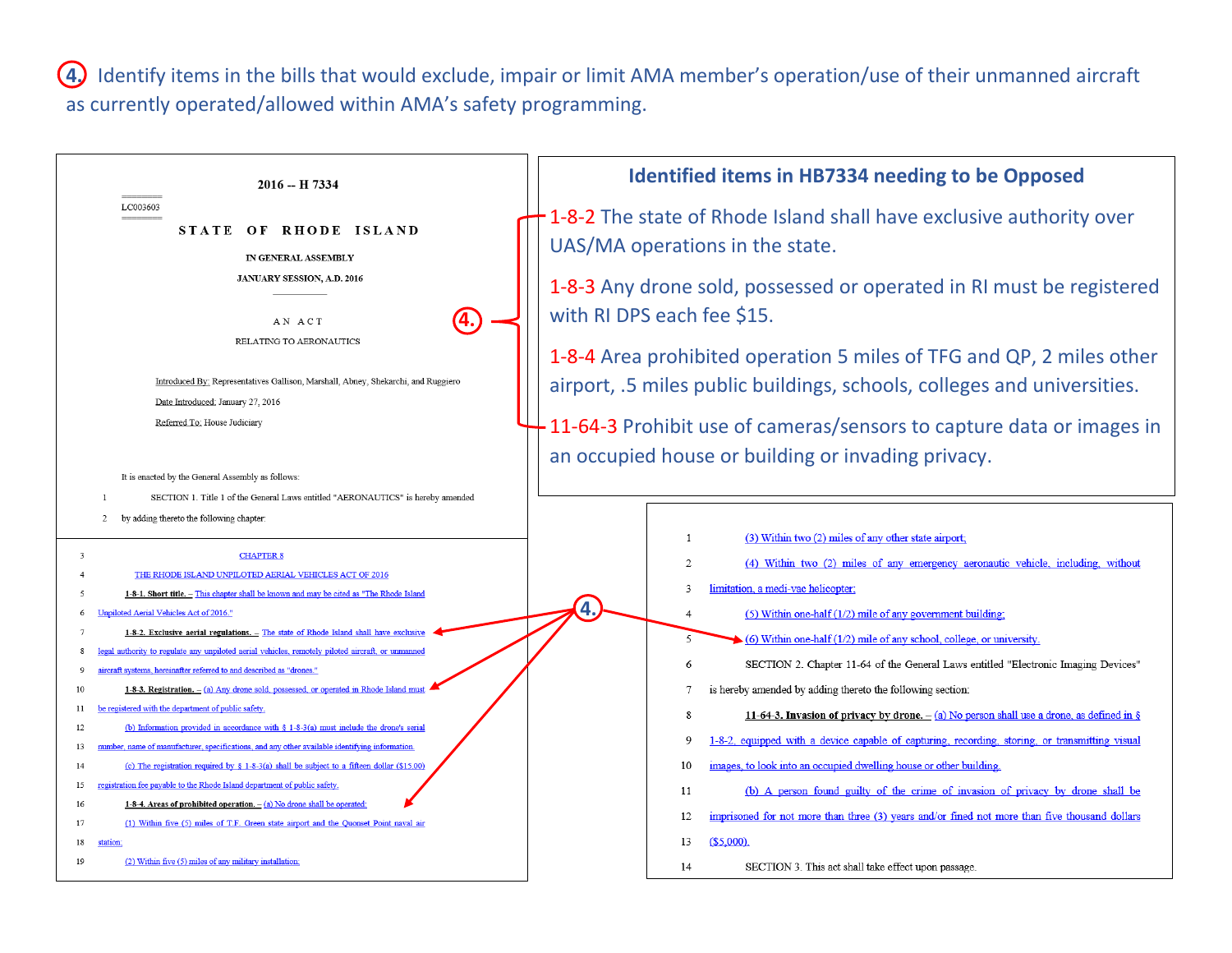**4.** Identify items in the bills that would exclude, impair or limit AMA member's operation/use of their unmanned aircraft as currently operated/allowed within AMA's safety programming.

| 2016 -- H 7334                                                                                                                                                                                           | <b>Identified items in HB7334 needing to be Opposed</b>                                                                                                       |
|----------------------------------------------------------------------------------------------------------------------------------------------------------------------------------------------------------|---------------------------------------------------------------------------------------------------------------------------------------------------------------|
| LC003603<br>STATE OF RHODE ISLAND<br>IN GENERAL ASSEMBLY                                                                                                                                                 | 1-8-2 The state of Rhode Island shall have exclusive authority over<br>UAS/MA operations in the state.                                                        |
| JANUARY SESSION, A.D. 2016<br>AN ACT                                                                                                                                                                     | 1-8-3 Any drone sold, possessed or operated in RI must be registered<br>with RI DPS each fee \$15.                                                            |
| RELATING TO AERONAUTICS<br>Introduced By: Representatives Gallison, Marshall, Abney, Shekarchi, and Ruggiero<br>Date Introduced: January 27, 2016                                                        | 1-8-4 Area prohibited operation 5 miles of TFG and QP, 2 miles other<br>airport, .5 miles public buildings, schools, colleges and universities.               |
| Referred To: House Judiciary                                                                                                                                                                             | 11-64-3 Prohibit use of cameras/sensors to capture data or images in                                                                                          |
| It is enacted by the General Assembly as follows:<br>SECTION 1. Title 1 of the General Laws entitled "AERONAUTICS" is hereby amended                                                                     | an occupied house or building or invading privacy.                                                                                                            |
| by adding thereto the following chapter:<br>2                                                                                                                                                            | -1                                                                                                                                                            |
| <b>CHAPTER 8</b><br>$\mathbf{3}$<br>THE RHODE ISLAND UNPILOTED AERIAL VEHICLES ACT OF 2016                                                                                                               | (3) Within two (2) miles of any other state airport;<br>(4) Within two (2) miles of any emergency aeronautic vehicle, including, without<br>2                 |
| 1-8-1. Short title. - This chapter shall be known and may be cited as "The Rhode Island<br>Unpiloted Aerial Vehicles Act of 2016."<br>-6                                                                 | limitation, a medi-vac helicopter;<br>$\mathcal{F}$<br>4<br>(5) Within one-half $(1/2)$ mile of any government building;<br>$\overline{4}$                    |
| 1-8-2. Exclusive aerial regulations. - The state of Rhode Island shall have exclusive<br>legal authority to regulate any unpiloted aerial vehicles, remotely piloted aircraft, or unmanned<br>-8         | $\overline{5}$<br>$(6)$ Within one-half (1/2) mile of any school, college, or university.                                                                     |
| aircraft systems, hereinafter referred to and described as "drones."<br>9                                                                                                                                | 6<br>SECTION 2. Chapter 11-64 of the General Laws entitled "Electronic Imaging Devices"                                                                       |
| 1-8-3. Registration. $-$ (a) Any drone sold, possessed, or operated in Rhode Island must<br>10<br>be registered with the department of public safety.<br>11                                              | is hereby amended by adding thereto the following section:<br>11-64-3. Invasion of privacy by drone. $-(a)$ No person shall use a drone, as defined in §<br>8 |
| (b) Information provided in accordance with $\S$ 1-8-3(a) must include the drone's serial<br>12                                                                                                          | 1-8-2, equipped with a device capable of capturing, recording, storing, or transmitting visual<br>Q                                                           |
| number, name of manufacturer, specifications, and any other available identifying information.<br>13<br>(c) The registration required by § 1-8-3(a) shall be subject to a fifteen dollar (\$15.00)<br>14 | images, to look into an occupied dwelling house or other building.<br>10                                                                                      |
| registration fee payable to the Rhode Island department of public safety.<br>15                                                                                                                          | (b) A person found guilty of the crime of invasion of privacy by drone shall be<br>11                                                                         |
| 16<br>1-8-4. Areas of prohibited operation. $-(a)$ No drone shall be operated<br>(1) Within five (5) miles of T.F. Green state airport and the Quonset Point naval air<br>17                             | imprisoned for not more than three (3) years and/or fined not more than five thousand dollars<br>12                                                           |
| 18<br>tation                                                                                                                                                                                             | (\$5,000).<br>13                                                                                                                                              |
| (2) Within five (5) miles of any military installation<br>19                                                                                                                                             | SECTION 3. This act shall take effect upon passage.<br>14                                                                                                     |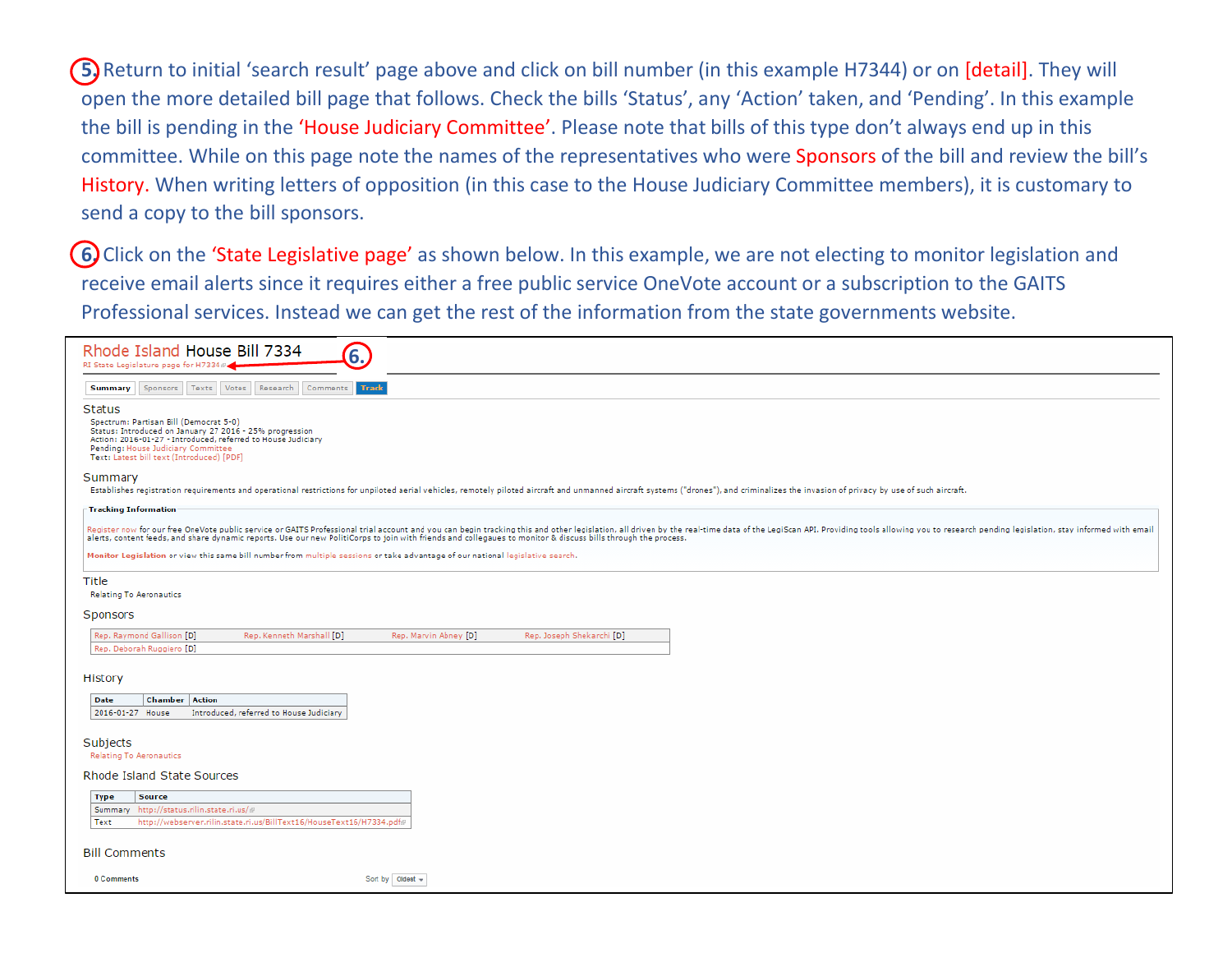**5.** Return to initial 'search result' page above and click on bill number (in this example H7344) or on [detail]. They will open the more detailed bill page that follows. Check the bills 'Status', any 'Action' taken, and 'Pending'. In this example the bill is pending in the 'House Judiciary Committee'. Please note that bills of this type don't always end up in this committee. While on this page note the names of the representatives who were Sponsors of the bill and review the bill's History. When writing letters of opposition (in this case to the House Judiciary Committee members), it is customary to send a copy to the bill sponsors.

(6) Click on the 'State Legislative page' as shown below. In this example, we are not electing to monitor legislation and receive email alerts since it requires either a free public service OneVote account or a subscription to the GAITS Professional services. Instead we can get the rest of the information from the state governments website.

| Rhode Island House Bill 7334<br>6.<br>RI State Legislature page for H7334 #4                                                                                                                                                                                                                                                                                                                                                                                                                                                                              |  |  |  |  |  |  |
|-----------------------------------------------------------------------------------------------------------------------------------------------------------------------------------------------------------------------------------------------------------------------------------------------------------------------------------------------------------------------------------------------------------------------------------------------------------------------------------------------------------------------------------------------------------|--|--|--|--|--|--|
| Sponsors Texts Votes Research<br>Comments<br><b>Track</b><br>Summary                                                                                                                                                                                                                                                                                                                                                                                                                                                                                      |  |  |  |  |  |  |
| <b>Status</b><br>Spectrum: Partisan Bill (Democrat 5-0)<br>Status: Introduced on January 27 2016 - 25% progression<br>Action: 2016-01-27 - Introduced, referred to House Judiciary<br>Pending: House Judiciary Committee<br>Text: Latest bill text (Introduced) [PDF]                                                                                                                                                                                                                                                                                     |  |  |  |  |  |  |
| Summary                                                                                                                                                                                                                                                                                                                                                                                                                                                                                                                                                   |  |  |  |  |  |  |
| Establishes registration requirements and operational restrictions for unpiloted aerial vehicles, remotely piloted aircraft and unmanned aircraft systems ("drones"), and criminalizes the invasion of privacy by use of such                                                                                                                                                                                                                                                                                                                             |  |  |  |  |  |  |
| Tracking Information<br>Register now for our free OneVote public service or GAITS Professional trial account and you can begin tracking this and other legislation, all driven by the real-time data of the LegiScan API. Providing tools allowing you<br>alerts, content feeds, and share dynamic reports. Use our new PolitiCorps to join with friends and collegaues to monitor & discuss bills through the process.<br>Monitor Legislation or view this same bill number from multiple sessions or take advantage of our national legislative search. |  |  |  |  |  |  |
| Title                                                                                                                                                                                                                                                                                                                                                                                                                                                                                                                                                     |  |  |  |  |  |  |
| <b>Relating To Aeronautics</b>                                                                                                                                                                                                                                                                                                                                                                                                                                                                                                                            |  |  |  |  |  |  |
| Sponsors                                                                                                                                                                                                                                                                                                                                                                                                                                                                                                                                                  |  |  |  |  |  |  |
| Rep. Raymond Gallison [D]<br>Rep. Kenneth Marshall [D]<br>Rep. Marvin Abney [D]<br>Rep. Joseph Shekarchi [D]<br>Rep. Deborah Ruggiero [D]                                                                                                                                                                                                                                                                                                                                                                                                                 |  |  |  |  |  |  |
| History                                                                                                                                                                                                                                                                                                                                                                                                                                                                                                                                                   |  |  |  |  |  |  |
| Date<br><b>Chamber Action</b><br>Introduced, referred to House Judiciary<br>2016-01-27 House                                                                                                                                                                                                                                                                                                                                                                                                                                                              |  |  |  |  |  |  |
| Subjects<br>Relating To Aeronautics                                                                                                                                                                                                                                                                                                                                                                                                                                                                                                                       |  |  |  |  |  |  |
| Rhode Island State Sources                                                                                                                                                                                                                                                                                                                                                                                                                                                                                                                                |  |  |  |  |  |  |
| <b>Type</b><br><b>Source</b><br>Summary http://status.rilin.state.ri.us/@<br>http://webserver.rilin.state.ri.us/BillText16/HouseText16/H7334.pdf#<br>Text                                                                                                                                                                                                                                                                                                                                                                                                 |  |  |  |  |  |  |
| <b>Bill Comments</b>                                                                                                                                                                                                                                                                                                                                                                                                                                                                                                                                      |  |  |  |  |  |  |
| Sort by Oldest -<br>0 Comments                                                                                                                                                                                                                                                                                                                                                                                                                                                                                                                            |  |  |  |  |  |  |